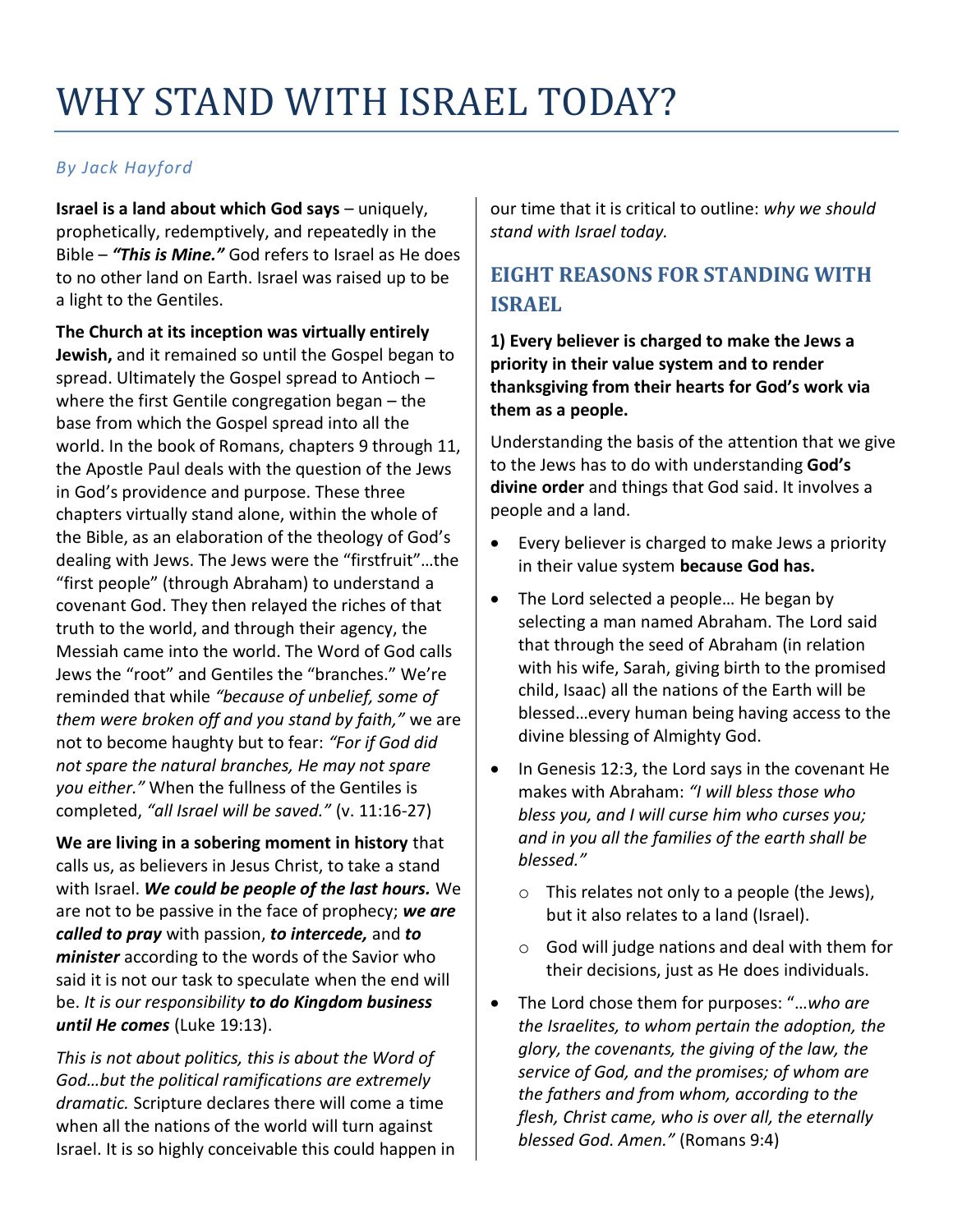# WHY STAND WITH ISRAEL TODAY?

#### *By Jack Hayford*

**Israel is a land about which God says – uniquely,** prophetically, redemptively, and repeatedly in the Bible – *"This is Mine."* God refers to Israel as He does to no other land on Earth. Israel was raised up to be a light to the Gentiles.

**The Church at its inception was virtually entirely Jewish,** and it remained so until the Gospel began to spread. Ultimately the Gospel spread to Antioch – where the first Gentile congregation began – the base from which the Gospel spread into all the world. In the book of Romans, chapters 9 through 11, the Apostle Paul deals with the question of the Jews in God's providence and purpose. These three chapters virtually stand alone, within the whole of the Bible, as an elaboration of the theology of God's dealing with Jews. The Jews were the "firstfruit"…the "first people" (through Abraham) to understand a covenant God. They then relayed the riches of that truth to the world, and through their agency, the Messiah came into the world. The Word of God calls Jews the "root" and Gentiles the "branches." We're reminded that while *"because of unbelief, some of them were broken off and you stand by faith,"* we are not to become haughty but to fear: *"For if God did not spare the natural branches, He may not spare you either."* When the fullness of the Gentiles is completed, *"all Israel will be saved."* (v. 11:16-27)

**We are living in a sobering moment in history** that calls us, as believers in Jesus Christ, to take a stand with Israel. *We could be people of the last hours.* We are not to be passive in the face of prophecy; *we are called to pray* with passion, *to intercede,* and *to minister* according to the words of the Savior who said it is not our task to speculate when the end will be. *It is our responsibility to do Kingdom business until He comes* (Luke 19:13).

*This is not about politics, this is about the Word of God…but the political ramifications are extremely dramatic.* Scripture declares there will come a time when all the nations of the world will turn against Israel. It is so highly conceivable this could happen in

our time that it is critical to outline: *why we should stand with Israel today.*

## **EIGHT REASONS FOR STANDING WITH ISRAEL**

**1) Every believer is charged to make the Jews a priority in their value system and to render thanksgiving from their hearts for God's work via them as a people.**

Understanding the basis of the attention that we give to the Jews has to do with understanding **God's divine order** and things that God said. It involves a people and a land.

- Every believer is charged to make Jews a priority in their value system **because God has.**
- The Lord selected a people... He began by selecting a man named Abraham. The Lord said that through the seed of Abraham (in relation with his wife, Sarah, giving birth to the promised child, Isaac) all the nations of the Earth will be blessed…every human being having access to the divine blessing of Almighty God.
- In Genesis 12:3, the Lord says in the covenant He makes with Abraham: *"I will bless those who bless you, and I will curse him who curses you; and in you all the families of the earth shall be blessed."*
	- o This relates not only to a people (the Jews), but it also relates to a land (Israel).
	- o God will judge nations and deal with them for their decisions, just as He does individuals.
- The Lord chose them for purposes: "…*who are the Israelites, to whom pertain the adoption, the glory, the covenants, the giving of the law, the service of God, and the promises; of whom are the fathers and from whom, according to the flesh, Christ came, who is over all, the eternally blessed God. Amen."* (Romans 9:4)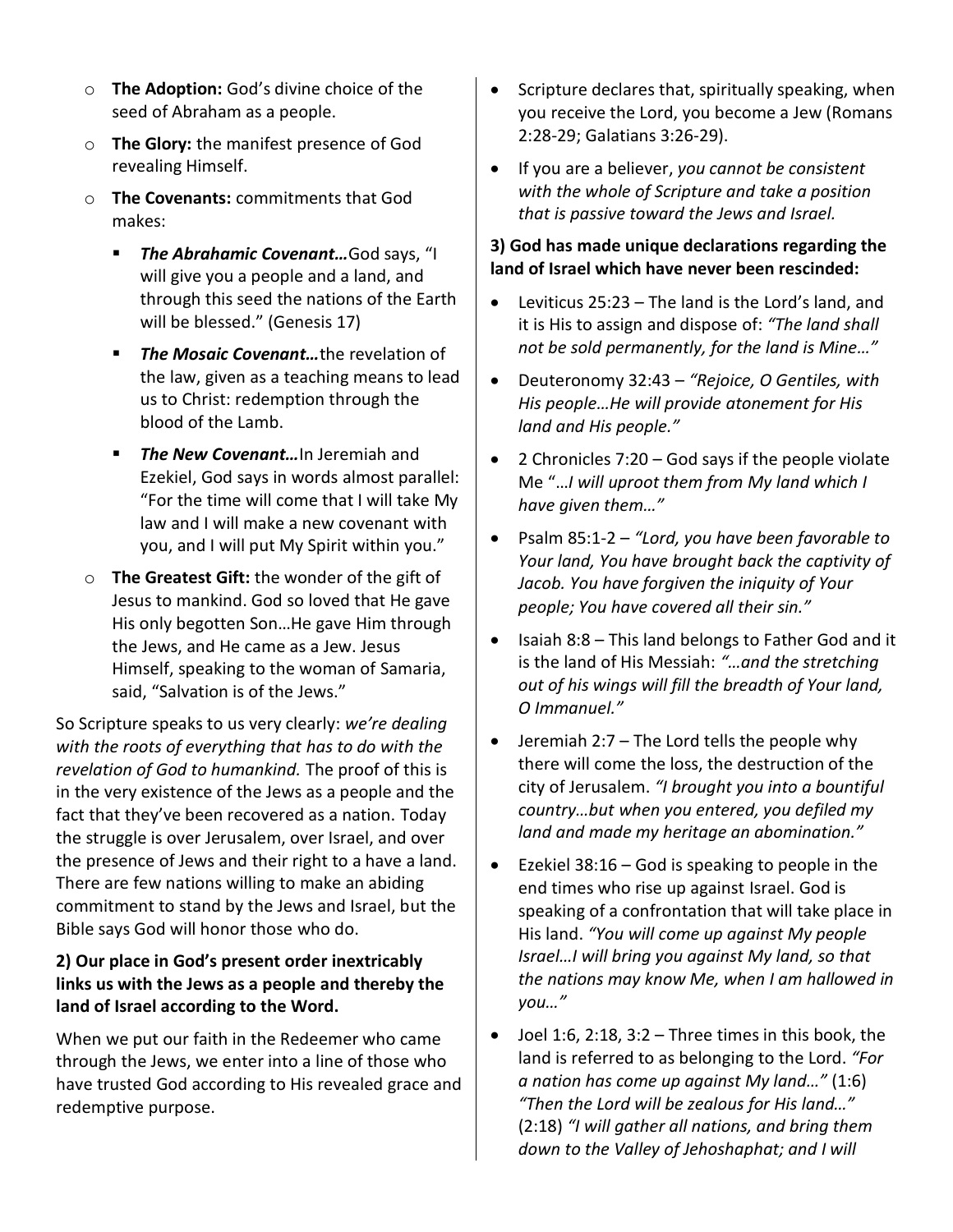- o **The Adoption:** God's divine choice of the seed of Abraham as a people.
- o **The Glory:** the manifest presence of God revealing Himself.
- o **The Covenants:** commitments that God makes:
	- The Abrahamic Covenant...God says, "I will give you a people and a land, and through this seed the nations of the Earth will be blessed." (Genesis 17)
	- *The Mosaic Covenant…*the revelation of the law, given as a teaching means to lead us to Christ: redemption through the blood of the Lamb.
	- The New Covenant... In Jeremiah and Ezekiel, God says in words almost parallel: "For the time will come that I will take My law and I will make a new covenant with you, and I will put My Spirit within you."
- o **The Greatest Gift:** the wonder of the gift of Jesus to mankind. God so loved that He gave His only begotten Son…He gave Him through the Jews, and He came as a Jew. Jesus Himself, speaking to the woman of Samaria, said, "Salvation is of the Jews."

So Scripture speaks to us very clearly: *we're dealing with the roots of everything that has to do with the revelation of God to humankind.* The proof of this is in the very existence of the Jews as a people and the fact that they've been recovered as a nation. Today the struggle is over Jerusalem, over Israel, and over the presence of Jews and their right to a have a land. There are few nations willing to make an abiding commitment to stand by the Jews and Israel, but the Bible says God will honor those who do.

#### **2) Our place in God's present order inextricably links us with the Jews as a people and thereby the land of Israel according to the Word.**

When we put our faith in the Redeemer who came through the Jews, we enter into a line of those who have trusted God according to His revealed grace and redemptive purpose.

- Scripture declares that, spiritually speaking, when you receive the Lord, you become a Jew (Romans 2:28-29; Galatians 3:26-29).
- If you are a believer, *you cannot be consistent with the whole of Scripture and take a position that is passive toward the Jews and Israel.*

#### **3) God has made unique declarations regarding the land of Israel which have never been rescinded:**

- Leviticus 25:23 The land is the Lord's land, and it is His to assign and dispose of: *"The land shall not be sold permanently, for the land is Mine…"*
- Deuteronomy 32:43 *"Rejoice, O Gentiles, with His people…He will provide atonement for His land and His people."*
- 2 Chronicles 7:20 God says if the people violate Me "…*I will uproot them from My land which I have given them…"*
- Psalm 85:1-2 *"Lord, you have been favorable to Your land, You have brought back the captivity of Jacob. You have forgiven the iniquity of Your people; You have covered all their sin."*
- $\bullet$  Isaiah 8:8 This land belongs to Father God and it is the land of His Messiah: *"…and the stretching out of his wings will fill the breadth of Your land, O Immanuel."*
- Jeremiah 2:7 The Lord tells the people why there will come the loss, the destruction of the city of Jerusalem. *"I brought you into a bountiful country…but when you entered, you defiled my land and made my heritage an abomination."*
- Ezekiel  $38:16 God$  is speaking to people in the end times who rise up against Israel. God is speaking of a confrontation that will take place in His land. *"You will come up against My people Israel…I will bring you against My land, so that the nations may know Me, when I am hallowed in you…"*
- $\bullet$  Joel 1:6, 2:18, 3:2 Three times in this book, the land is referred to as belonging to the Lord. *"For a nation has come up against My land…"* (1:6) *"Then the Lord will be zealous for His land…"*  (2:18) *"I will gather all nations, and bring them down to the Valley of Jehoshaphat; and I will*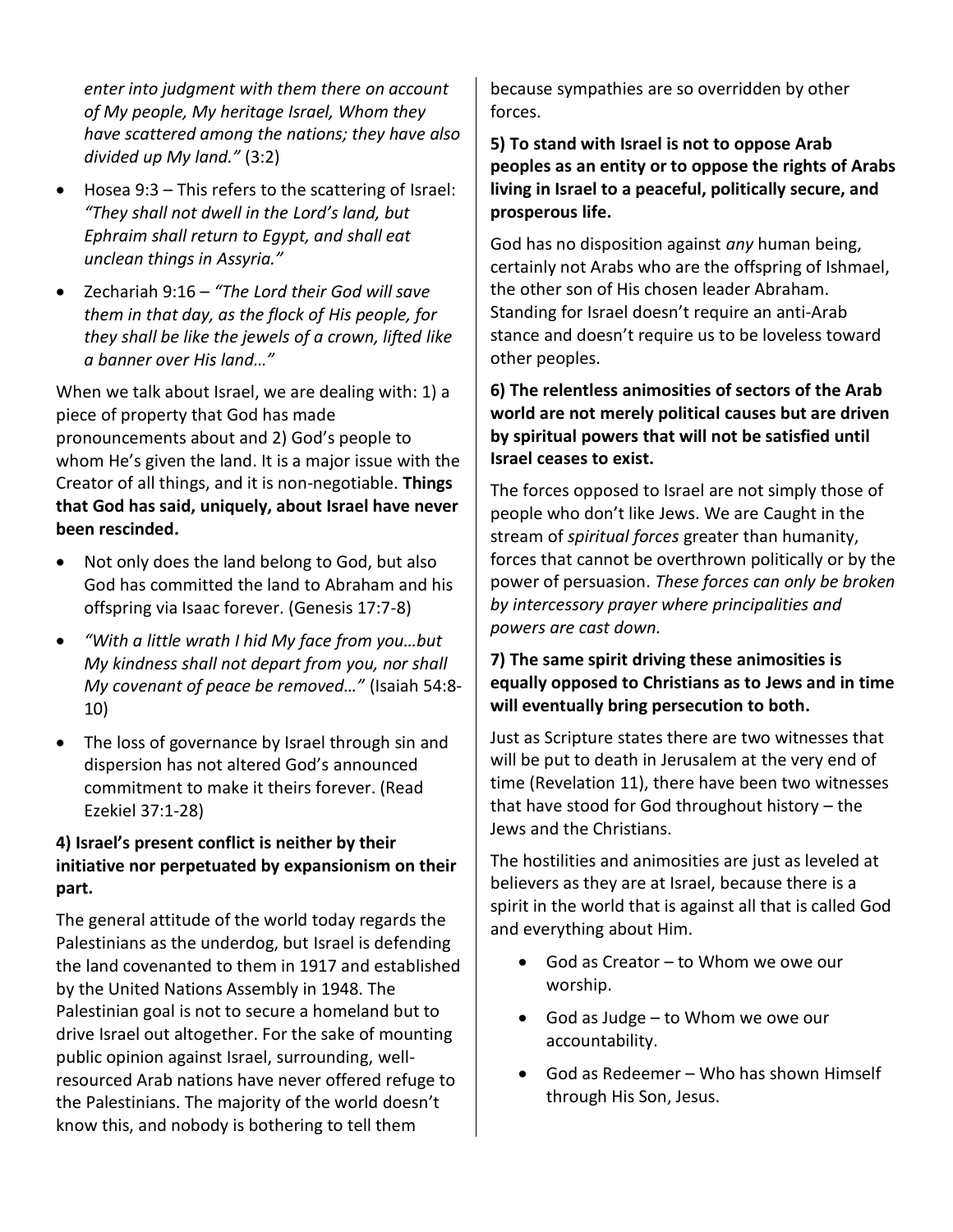*enter into judgment with them there on account of My people, My heritage Israel, Whom they have scattered among the nations; they have also divided up My land."* (3:2)

- Hosea 9:3 This refers to the scattering of Israel: *"They shall not dwell in the Lord's land, but Ephraim shall return to Egypt, and shall eat unclean things in Assyria."*
- Zechariah 9:16 *"The Lord their God will save them in that day, as the flock of His people, for they shall be like the jewels of a crown, lifted like a banner over His land…"*

When we talk about Israel, we are dealing with: 1) a piece of property that God has made pronouncements about and 2) God's people to whom He's given the land. It is a major issue with the Creator of all things, and it is non-negotiable. **Things that God has said, uniquely, about Israel have never been rescinded.**

- Not only does the land belong to God, but also God has committed the land to Abraham and his offspring via Isaac forever. (Genesis 17:7-8)
- *"With a little wrath I hid My face from you…but My kindness shall not depart from you, nor shall My covenant of peace be removed…"* (Isaiah 54:8- 10)
- The loss of governance by Israel through sin and dispersion has not altered God's announced commitment to make it theirs forever. (Read Ezekiel 37:1-28)

#### **4) Israel's present conflict is neither by their initiative nor perpetuated by expansionism on their part.**

The general attitude of the world today regards the Palestinians as the underdog, but Israel is defending the land covenanted to them in 1917 and established by the United Nations Assembly in 1948. The Palestinian goal is not to secure a homeland but to drive Israel out altogether. For the sake of mounting public opinion against Israel, surrounding, wellresourced Arab nations have never offered refuge to the Palestinians. The majority of the world doesn't know this, and nobody is bothering to tell them

because sympathies are so overridden by other forces.

**5) To stand with Israel is not to oppose Arab peoples as an entity or to oppose the rights of Arabs living in Israel to a peaceful, politically secure, and prosperous life.**

God has no disposition against *any* human being, certainly not Arabs who are the offspring of Ishmael, the other son of His chosen leader Abraham. Standing for Israel doesn't require an anti-Arab stance and doesn't require us to be loveless toward other peoples.

#### **6) The relentless animosities of sectors of the Arab world are not merely political causes but are driven by spiritual powers that will not be satisfied until Israel ceases to exist.**

The forces opposed to Israel are not simply those of people who don't like Jews. We are Caught in the stream of *spiritual forces* greater than humanity, forces that cannot be overthrown politically or by the power of persuasion. *These forces can only be broken by intercessory prayer where principalities and powers are cast down.*

#### **7) The same spirit driving these animosities is equally opposed to Christians as to Jews and in time will eventually bring persecution to both.**

Just as Scripture states there are two witnesses that will be put to death in Jerusalem at the very end of time (Revelation 11), there have been two witnesses that have stood for God throughout history – the Jews and the Christians.

The hostilities and animosities are just as leveled at believers as they are at Israel, because there is a spirit in the world that is against all that is called God and everything about Him.

- God as Creator to Whom we owe our worship.
- God as Judge to Whom we owe our accountability.
- God as Redeemer Who has shown Himself through His Son, Jesus.